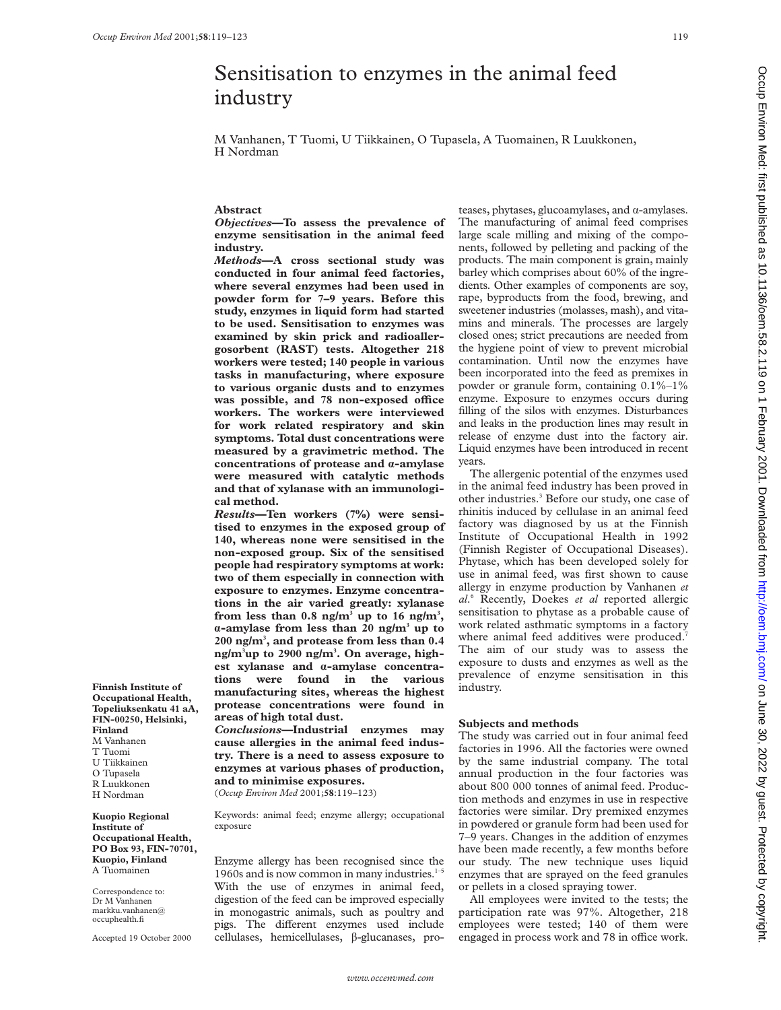# Sensitisation to enzymes in the animal feed industry

M Vanhanen, T Tuomi, U Tiikkainen, O Tupasela, A Tuomainen, R Luukkonen, H Nordman

### **Abstract**

*Objectives***—To assess the prevalence of enzyme sensitisation in the animal feed industry.**

*Methods***—A cross sectional study was conducted in four animal feed factories, where several enzymes had been used in powder form for 7–9 years. Before this study, enzymes in liquid form had started to be used. Sensitisation to enzymes was examined by skin prick and radioallergosorbent (RAST) tests. Altogether 218 workers were tested; 140 people in various tasks in manufacturing, where exposure to various organic dusts and to enzymes** was possible, and 78 non-exposed office **workers. The workers were interviewed for work related respiratory and skin symptoms. Total dust concentrations were measured by a gravimetric method. The concentrations of protease and á-amylase were measured with catalytic methods and that of xylanase with an immunological method.**

*Results***—Ten workers (7%) were sensitised to enzymes in the exposed group of 140, whereas none were sensitised in the non-exposed group. Six of the sensitised people had respiratory symptoms at work: two of them especially in connection with exposure to enzymes. Enzyme concentrations in the air varied greatly: xylanase** from less than  $0.8$  ng/m<sup>3</sup> up to 16 ng/m<sup>3</sup>, **á-amylase from less than 20 ng/m3 up to 200 ng/m3 , and protease from less than 0.4 ng/m3 up to 2900 ng/m3 . On average, highest xylanase and á-amylase concentrations were found in the various manufacturing sites, whereas the highest protease concentrations were found in areas of high total dust.**

*Conclusions***—Industrial enzymes may cause allergies in the animal feed industry. There is a need to assess exposure to enzymes at various phases of production, and to minimise exposures.** (*Occup Environ Med* 2001;**58**:119–123)

Keywords: animal feed; enzyme allergy; occupational exposure

Enzyme allergy has been recognised since the 1960s and is now common in many industries. $1$ -With the use of enzymes in animal feed, digestion of the feed can be improved especially in monogastric animals, such as poultry and pigs. The different enzymes used include cellulases, hemicellulases,  $\beta$ -glucanases, proteases, phytases, glucoamylases, and  $\alpha$ -amylases. The manufacturing of animal feed comprises large scale milling and mixing of the components, followed by pelleting and packing of the products. The main component is grain, mainly barley which comprises about 60% of the ingredients. Other examples of components are soy, rape, byproducts from the food, brewing, and sweetener industries (molasses, mash), and vitamins and minerals. The processes are largely closed ones; strict precautions are needed from the hygiene point of view to prevent microbial contamination. Until now the enzymes have been incorporated into the feed as premixes in powder or granule form, containing 0.1%–1% enzyme. Exposure to enzymes occurs during filling of the silos with enzymes. Disturbances and leaks in the production lines may result in release of enzyme dust into the factory air. Liquid enzymes have been introduced in recent years.

The allergenic potential of the enzymes used in the animal feed industry has been proved in other industries.<sup>3</sup> Before our study, one case of rhinitis induced by cellulase in an animal feed factory was diagnosed by us at the Finnish Institute of Occupational Health in 1992 (Finnish Register of Occupational Diseases). Phytase, which has been developed solely for use in animal feed, was first shown to cause allergy in enzyme production by Vanhanen *et al*. <sup>6</sup> Recently, Doekes *et al* reported allergic sensitisation to phytase as a probable cause of work related asthmatic symptoms in a factory where animal feed additives were produced.<sup>7</sup> The aim of our study was to assess the exposure to dusts and enzymes as well as the prevalence of enzyme sensitisation in this industry.

#### **Subjects and methods**

The study was carried out in four animal feed factories in 1996. All the factories were owned by the same industrial company. The total annual production in the four factories was about 800 000 tonnes of animal feed. Production methods and enzymes in use in respective factories were similar. Dry premixed enzymes in powdered or granule form had been used for 7–9 years. Changes in the addition of enzymes have been made recently, a few months before our study. The new technique uses liquid enzymes that are sprayed on the feed granules or pellets in a closed spraying tower.

All employees were invited to the tests; the participation rate was 97%. Altogether, 218 employees were tested; 140 of them were engaged in process work and 78 in office work.

**Finnish Institute of Occupational Health, Topeliuksenkatu 41 aA, FIN-00250, Helsinki, Finland** M Vanhanen T Tuomi U Tiikkainen O Tupasela R Luukkonen H Nordman

**Kuopio Regional Institute of Occupational Health, PO Box 93, FIN-70701, Kuopio, Finland** A Tuomainen

Correspondence to: Dr M Vanhanen markku.vanhanen@ occuphealth.fi

Accepted 19 October 2000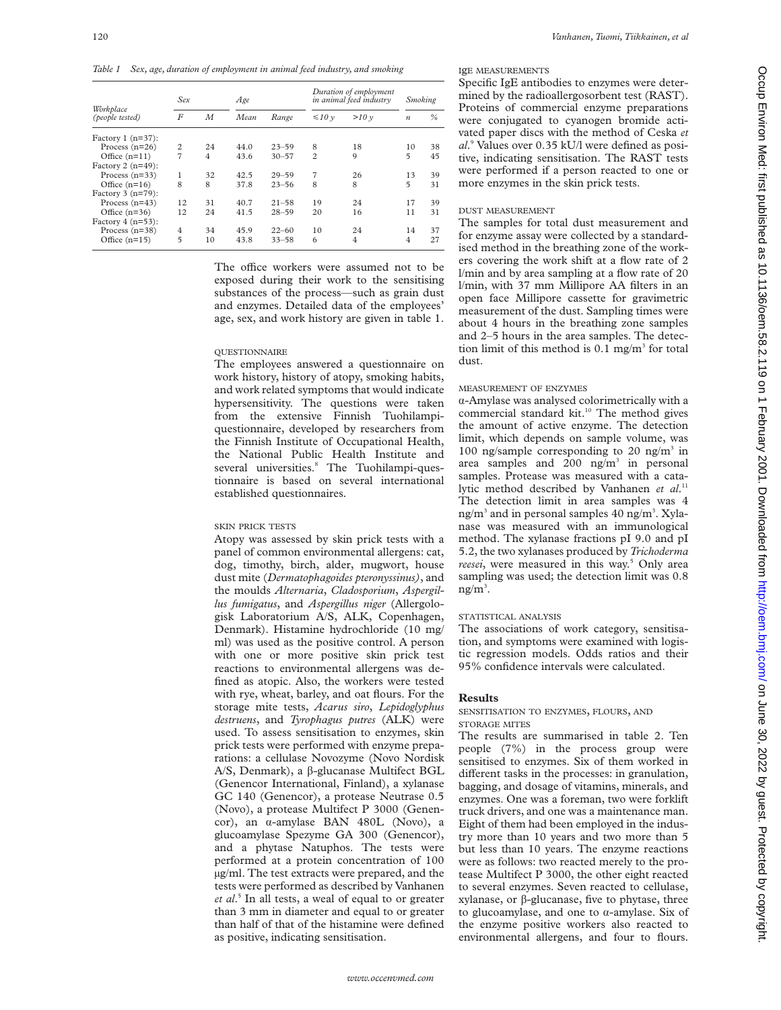*Table 1 Sex, age, duration of employment in animal feed industry, and smoking*

|                              | Sex            |    | Age  |           |                | Duration of employment<br>in animal feed industry |                  | <b>Smoking</b> |  |
|------------------------------|----------------|----|------|-----------|----------------|---------------------------------------------------|------------------|----------------|--|
| Workplace<br>(people tested) | F              | M  | Mean | Range     | $\leq 10v$     | >10v                                              | $\boldsymbol{n}$ | $\%$           |  |
| Factory 1 $(n=37)$ :         |                |    |      |           |                |                                                   |                  |                |  |
| Process $(n=26)$             | $\overline{c}$ | 24 | 44.0 | $23 - 59$ | 8              | 18                                                | 10               | 38             |  |
| Office $(n=11)$              | $\overline{7}$ | 4  | 43.6 | $30 - 57$ | $\overline{c}$ | 9                                                 | $\overline{5}$   | 45             |  |
| Factory 2 $(n=49)$ :         |                |    |      |           |                |                                                   |                  |                |  |
| Process $(n=33)$             | 1              | 32 | 42.5 | $29 - 59$ | 7              | 26                                                | 13               | 39             |  |
| Office $(n=16)$              | 8              | 8  | 37.8 | $23 - 56$ | 8              | 8                                                 | $\overline{5}$   | 31             |  |
| Factory $3$ (n=79):          |                |    |      |           |                |                                                   |                  |                |  |
| Process $(n=43)$             | 12             | 31 | 40.7 | $21 - 58$ | 19             | 24                                                | 17               | 39             |  |
| Office $(n=36)$              | 12             | 24 | 41.5 | $28 - 59$ | 20             | 16                                                | 11               | 31             |  |
| Factory $4(n=53)$ :          |                |    |      |           |                |                                                   |                  |                |  |
| Process $(n=38)$             | 4              | 34 | 45.9 | $22 - 60$ | 10             | 24                                                | 14               | 37             |  |
| Office $(n=15)$              | 5              | 10 | 43.8 | $33 - 58$ | 6              | $\overline{4}$                                    | 4                | 27             |  |

The office workers were assumed not to be exposed during their work to the sensitising substances of the process—such as grain dust and enzymes. Detailed data of the employees' age, sex, and work history are given in table 1.

# **OUESTIONNAIRE**

The employees answered a questionnaire on work history, history of atopy, smoking habits, and work related symptoms that would indicate hypersensitivity. The questions were taken from the extensive Finnish Tuohilampiquestionnaire, developed by researchers from the Finnish Institute of Occupational Health, the National Public Health Institute and several universities.<sup>8</sup> The Tuohilampi-questionnaire is based on several international established questionnaires.

# SKIN PRICK TESTS

Atopy was assessed by skin prick tests with a panel of common environmental allergens: cat, dog, timothy, birch, alder, mugwort, house dust mite (*Dermatophagoides pteronyssinus)*, and the moulds *Alternaria*, *Cladosporium*, *Aspergillus fumigatus*, and *Aspergillus niger* (Allergologisk Laboratorium A/S, ALK, Copenhagen, Denmark). Histamine hydrochloride (10 mg/ ml) was used as the positive control. A person with one or more positive skin prick test reactions to environmental allergens was defined as atopic. Also, the workers were tested with rye, wheat, barley, and oat flours. For the storage mite tests, *Acarus siro*, *Lepidoglyphus destruens*, and *Tyrophagus putres* (ALK) were used. To assess sensitisation to enzymes, skin prick tests were performed with enzyme preparations: a cellulase Novozyme (Novo Nordisk A/S, Denmark), a β-glucanase Multifect BGL (Genencor International, Finland), a xylanase GC 140 (Genencor), a protease Neutrase 0.5 (Novo), a protease Multifect P 3000 (Genencor), an á-amylase BAN 480L (Novo), a glucoamylase Spezyme GA 300 (Genencor), and a phytase Natuphos. The tests were performed at a protein concentration of 100 µg/ml. The test extracts were prepared, and the tests were performed as described by Vanhanen *et al*. <sup>5</sup> In all tests, a weal of equal to or greater than 3 mm in diameter and equal to or greater than half of that of the histamine were defined as positive, indicating sensitisation.

# IgE MEASUREMENTS

Specific IgE antibodies to enzymes were determined by the radioallergosorbent test (RAST). Proteins of commercial enzyme preparations were conjugated to cyanogen bromide activated paper discs with the method of Ceska *et al*. <sup>9</sup> Values over 0.35 kU/l were defined as positive, indicating sensitisation. The RAST tests were performed if a person reacted to one or more enzymes in the skin prick tests.

# DUST MEASUREMENT

The samples for total dust measurement and for enzyme assay were collected by a standardised method in the breathing zone of the workers covering the work shift at a flow rate of 2 l/min and by area sampling at a flow rate of 20 l/min, with 37 mm Millipore AA filters in an open face Millipore cassette for gravimetric measurement of the dust. Sampling times were about 4 hours in the breathing zone samples and 2–5 hours in the area samples. The detection limit of this method is  $0.1$  mg/m<sup>3</sup> for total dust.

# MEASUREMENT OF ENZYMES

á-Amylase was analysed colorimetrically with a commercial standard kit.<sup>10</sup> The method gives the amount of active enzyme. The detection limit, which depends on sample volume, was 100 ng/sample corresponding to 20 ng/m<sup>3</sup> in area samples and  $200$  ng/m<sup>3</sup> in personal samples. Protease was measured with a catalytic method described by Vanhanen et al.<sup>11</sup> The detection limit in area samples was 4 ng/m<sup>3</sup> and in personal samples 40 ng/m<sup>3</sup>. Xylanase was measured with an immunological method. The xylanase fractions pI 9.0 and pI 5.2, the two xylanases produced by *Trichoderma* reesei, were measured in this way.<sup>5</sup> Only area sampling was used; the detection limit was 0.8  $ng/m^3$ .

# STATISTICAL ANALYSIS

The associations of work category, sensitisation, and symptoms were examined with logistic regression models. Odds ratios and their 95% confidence intervals were calculated.

# **Results**

SENSITISATION TO ENZYMES, FLOURS, AND STORAGE MITES

The results are summarised in table 2. Ten people (7%) in the process group were sensitised to enzymes. Six of them worked in different tasks in the processes: in granulation, bagging, and dosage of vitamins, minerals, and enzymes. One was a foreman, two were forklift truck drivers, and one was a maintenance man. Eight of them had been employed in the industry more than 10 years and two more than 5 but less than 10 years. The enzyme reactions were as follows: two reacted merely to the protease Multifect P 3000, the other eight reacted to several enzymes. Seven reacted to cellulase, xylanase, or â-glucanase, five to phytase, three to glucoamylase, and one to  $\alpha$ -amylase. Six of the enzyme positive workers also reacted to environmental allergens, and four to flours.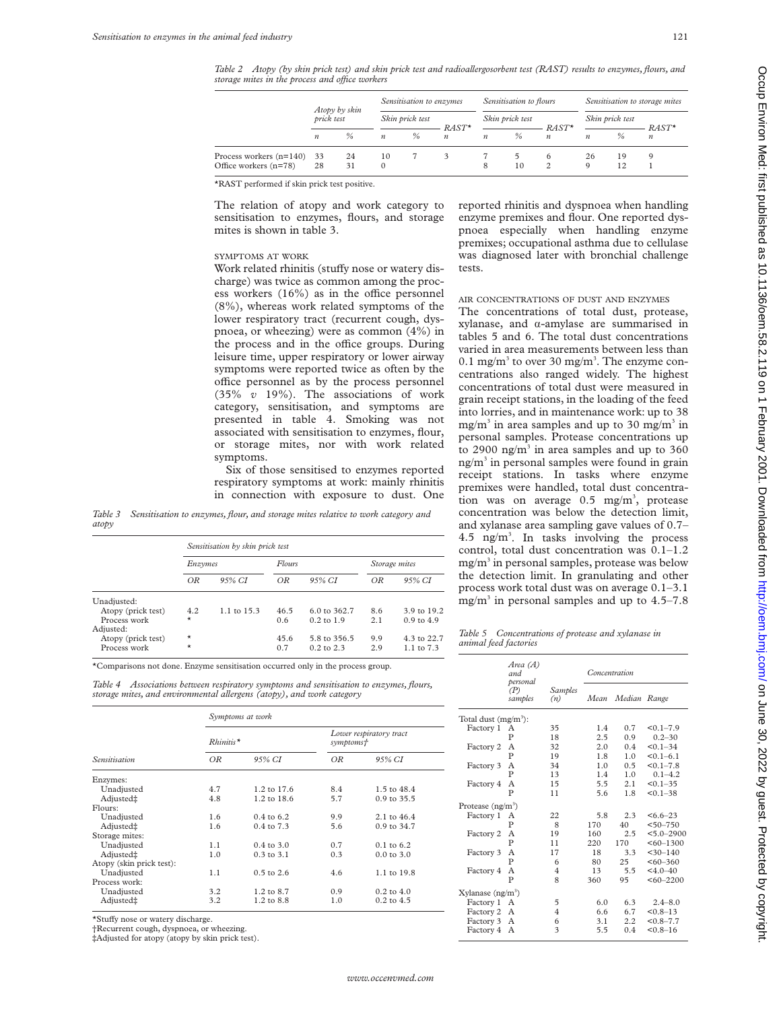*Table 2 Atopy (by skin prick test) and skin prick test and radioallergosorbent test (RAST) results to enzymes, flours, and storage mites in the process and oYce workers*

|                                                     | Atopy by skin    | Sensitisation to enzymes |                  | Sensitisation to flours |                             |                  | Sensitisation to storage mites |                              |                  |                 |                             |
|-----------------------------------------------------|------------------|--------------------------|------------------|-------------------------|-----------------------------|------------------|--------------------------------|------------------------------|------------------|-----------------|-----------------------------|
|                                                     | prick test       |                          |                  | Skin prick test         |                             |                  | Skin prick test                |                              |                  | Skin prick test |                             |
|                                                     | $\boldsymbol{n}$ | $\%$                     | $\boldsymbol{n}$ | $\%$                    | $RAST*$<br>$\boldsymbol{n}$ | $\boldsymbol{n}$ | %                              | $RAST^*$<br>$\boldsymbol{n}$ | $\boldsymbol{n}$ | $\frac{0}{6}$   | $RAST*$<br>$\boldsymbol{n}$ |
| Process workers (n=140) 33<br>Office workers (n=78) | 28               | 24<br>31                 | 10<br>$\Omega$   |                         |                             | 8                | 10                             | <sub>0</sub>                 | 26<br>Q          | 19<br>12        |                             |

\*RAST performed if skin prick test positive.

The relation of atopy and work category to sensitisation to enzymes, flours, and storage mites is shown in table 3.

#### SYMPTOMS AT WORK

Work related rhinitis (stuffy nose or watery discharge) was twice as common among the process workers  $(16\%)$  as in the office personnel (8%), whereas work related symptoms of the lower respiratory tract (recurrent cough, dyspnoea, or wheezing) were as common (4%) in the process and in the office groups. During leisure time, upper respiratory or lower airway symptoms were reported twice as often by the office personnel as by the process personnel (35% *v* 19%). The associations of work category, sensitisation, and symptoms are presented in table 4. Smoking was not associated with sensitisation to enzymes, flour, or storage mites, nor with work related symptoms.

Six of those sensitised to enzymes reported respiratory symptoms at work: mainly rhinitis in connection with exposure to dust. One

*Table 3 Sensitisation to enzymes, flour, and storage mites relative to work category and atopy*

|                    |          | Sensitisation by skin prick test |        |                         |               |                |  |
|--------------------|----------|----------------------------------|--------|-------------------------|---------------|----------------|--|
|                    | Enzymes  |                                  | Flours |                         | Storage mites |                |  |
|                    | OR       | 95% CI                           | OR     | 95% CI                  | OR            | 95% CI         |  |
| Unadjusted:        |          |                                  |        |                         |               |                |  |
| Atopy (prick test) | 4.2      | $1.1 \text{ to } 15.3$           | 46.5   | $6.0 \text{ to } 362.7$ | 8.6           | 3.9 to 19.2    |  |
| Process work       | $\star$  |                                  | 0.6    | $0.2 \text{ to } 1.9$   | 2.1           | $0.9$ to $4.9$ |  |
| Adjusted:          |          |                                  |        |                         |               |                |  |
| Atopy (prick test) | $^\star$ |                                  | 45.6   | 5.8 to 356.5            | 9.9           | 4.3 to 22.7    |  |
| Process work       | $\star$  |                                  | 0.7    | $0.2$ to $2.3$          | 2.9           | 1.1 to $7.3$   |  |

\*Comparisons not done. Enzyme sensitisation occurred only in the process group.

|                                                                       |  |  | Table 4 Associations between respiratory symptoms and sensitisation to enzymes, flours, |  |
|-----------------------------------------------------------------------|--|--|-----------------------------------------------------------------------------------------|--|
| storage mites, and environmental allergens (atopy), and work category |  |  |                                                                                         |  |

|                          | Symptoms at work                |                        |                                      |                        |  |  |  |
|--------------------------|---------------------------------|------------------------|--------------------------------------|------------------------|--|--|--|
|                          | $R$ <i>hinitis</i> <sup>*</sup> |                        | Lower respiratory tract<br>symptoms† |                        |  |  |  |
| Sensitisation            | OR                              | 95% CI                 | OR                                   | 95% CI                 |  |  |  |
| Enzymes:                 |                                 |                        |                                      |                        |  |  |  |
| Unadjusted               | 4.7                             | $1.2 \text{ to } 17.6$ | 8.4                                  | 1.5 to 48.4            |  |  |  |
| Adjusted‡                | 4.8                             | $1.2 \text{ to } 18.6$ | 5.7                                  | 0.9 to 35.5            |  |  |  |
| Flours:                  |                                 |                        |                                      |                        |  |  |  |
| Unadjusted               | 1.6                             | $0.4 \text{ to } 6.2$  | 9.9                                  | $2.1 \text{ to } 46.4$ |  |  |  |
| Adjusted‡                | 1.6                             | 0.4 to 7.3             | 5.6                                  | 0.9 to 34.7            |  |  |  |
| Storage mites:           |                                 |                        |                                      |                        |  |  |  |
| Unadjusted               | 1.1                             | $0.4 \text{ to } 3.0$  | 0.7                                  | $0.1 \text{ to } 6.2$  |  |  |  |
| Adjusted‡                | 1.0                             | $0.3$ to $3.1$         | 0.3                                  | $0.0 \text{ to } 3.0$  |  |  |  |
| Atopy (skin prick test): |                                 |                        |                                      |                        |  |  |  |
| Unadjusted               | 1.1                             | $0.5$ to $2.6$         | 4.6                                  | 1.1 to 19.8            |  |  |  |
| Process work:            |                                 |                        |                                      |                        |  |  |  |
| Unadjusted               | 3.2                             | 1.2 to 8.7             | 0.9                                  | $0.2 \text{ to } 4.0$  |  |  |  |
| Adjusted‡                | 3.2                             | 1.2 to 8.8             | 1.0                                  | $0.2$ to $4.5$         |  |  |  |
|                          |                                 |                        |                                      |                        |  |  |  |

\*Stuffy nose or watery discharge.

†Recurrent cough, dyspnoea, or wheezing.

‡Adjusted for atopy (atopy by skin prick test).

reported rhinitis and dyspnoea when handling enzyme premixes and flour. One reported dyspnoea especially when handling enzyme premixes; occupational asthma due to cellulase was diagnosed later with bronchial challenge tests.

## AIR CONCENTRATIONS OF DUST AND ENZYMES

The concentrations of total dust, protease, xylanase, and  $\alpha$ -amylase are summarised in tables 5 and 6. The total dust concentrations varied in area measurements between less than 0.1 mg/m<sup>3</sup> to over 30 mg/m<sup>3</sup>. The enzyme concentrations also ranged widely. The highest concentrations of total dust were measured in grain receipt stations, in the loading of the feed into lorries, and in maintenance work: up to 38 mg/m<sup>3</sup> in area samples and up to 30 mg/m<sup>3</sup> in personal samples. Protease concentrations up to 2900 ng/m<sup>3</sup> in area samples and up to 360  $ng/m<sup>3</sup>$  in personal samples were found in grain receipt stations. In tasks where enzyme premixes were handled, total dust concentration was on average  $0.5$  mg/m<sup>3</sup>, protease concentration was below the detection limit, and xylanase area sampling gave values of 0.7–  $4.5$  ng/m<sup>3</sup>. In tasks involving the process control, total dust concentration was 0.1–1.2  $mg/m<sup>3</sup>$  in personal samples, protease was below the detection limit. In granulating and other process work total dust was on average 0.1–3.1 mg/m<sup>3</sup> in personal samples and up to  $4.5-7.8$ 

| Table 5 Concentrations of protease and xylanase in |  |  |
|----------------------------------------------------|--|--|
| animal feed factories                              |  |  |

|                                  | Area (A)<br>and.<br>personal |                | Concentration |              |                |
|----------------------------------|------------------------------|----------------|---------------|--------------|----------------|
|                                  | (P)<br>samples               | Samples<br>(n) | Mean          | Median Range |                |
| Total dust (mg/m <sup>3</sup> ): |                              |                |               |              |                |
| Factory 1                        | А                            | 35             | 1.4           | 0.7          | $< 0.1 - 7.9$  |
|                                  | P                            | 18             | 2.5           | 0.9          | $0.2 - 30$     |
| Factory 2                        | А                            | 32             | 2.0           | 0.4          | $< 0.1 - 34$   |
|                                  | $\mathbf{P}$                 | 19             | 1.8           | 1.0          | $< 0.1 - 6.1$  |
| Factory 3                        | A                            | 34             | 1.0           | 0.5          | $< 0.1 - 7.8$  |
|                                  | $\mathbf{P}$                 | 13             | 1.4           | 1.0          | $0.1 - 4.2$    |
| Factory 4                        | A                            | 15             | 5.5           | 2.1          | $< 0.1 - 35$   |
|                                  | $\mathbf{P}$                 | 11             | 5.6           | 1.8          | $< 0.1 - 38$   |
| Protease (ng/m <sup>3</sup> )    |                              |                |               |              |                |
| Factory 1                        | А                            | 22             | 5.8           | 2.3          | $<6.6-23$      |
|                                  | P                            | 8              | 170           | 40           | $< 50 - 750$   |
| Factory 2                        | А                            | 19             | 160           | 2.5          | $< 5.0 - 2900$ |
|                                  | P                            | 11             | 220           | 170          | $<60-1300$     |
| Factory 3                        | А                            | 17             | 18            | 3.3          | $<$ 30-140     |
|                                  | P                            | 6              | 80            | 25           | $<60-360$      |
| Factory 4                        | A                            | $\overline{4}$ | 13            | 5.5          | $< 4.0 - 40$   |
|                                  | P                            | 8              | 360           | 95           | $<60-2200$     |
| Xylanase (ng/m <sup>3</sup> )    |                              |                |               |              |                |
| Factory 1                        | A                            | 5              | 6.0           | 6.3          | $2.4 - 8.0$    |
| Factory 2                        | A                            | 4              | 6.6           | 6.7          | $< 0.8 - 13$   |
| Factory 3                        | A                            | 6              | 3.1           | 2.2          | $< 0.8 - 7.7$  |
| Factory 4                        | A                            | 3              | 5.5           | 0.4          | $< 0.8 - 16$   |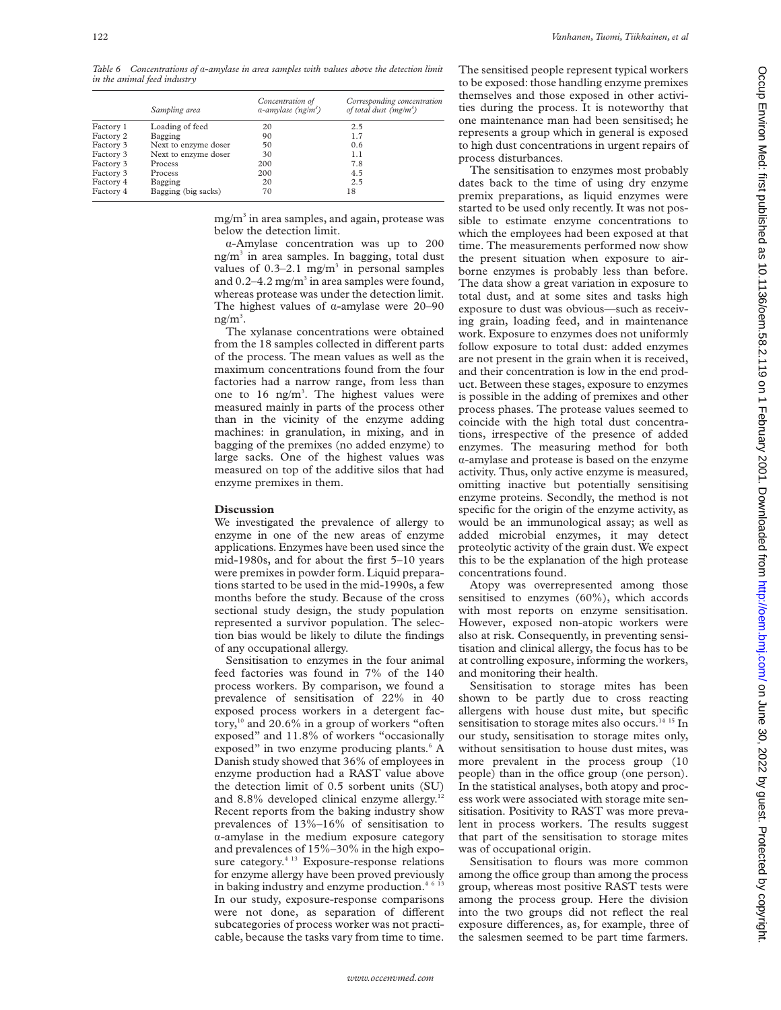122 *Vanhanen, Tuomi, Tiikkainen, et al*

*Table 6 Concentrations of* á*-amylase in area samples with values above the detection limit in the animal feed industry*

|           | Sampling area        | Concentration of<br>$a$ -amylase (ng/m <sup>3</sup> ) | Corresponding concentration<br>of total dust $(mg/m3)$ |
|-----------|----------------------|-------------------------------------------------------|--------------------------------------------------------|
| Factory 1 | Loading of feed      | 20                                                    | 2.5                                                    |
| Factory 2 | Bagging              | 90                                                    | 1.7                                                    |
| Factory 3 | Next to enzyme doser | 50                                                    | 0.6                                                    |
| Factory 3 | Next to enzyme doser | 30                                                    | 1.1                                                    |
| Factory 3 | <b>Process</b>       | 200                                                   | 7.8                                                    |
| Factory 3 | <b>Process</b>       | 200                                                   | 4.5                                                    |
| Factory 4 | Bagging              | 20                                                    | 2.5                                                    |
| Factory 4 | Bagging (big sacks)  | 70                                                    | 18                                                     |

 $mg/m<sup>3</sup>$  in area samples, and again, protease was below the detection limit.

á-Amylase concentration was up to 200  $ng/m<sup>3</sup>$  in area samples. In bagging, total dust values of  $0.3-2.1$  mg/m<sup>3</sup> in personal samples and  $0.2-4.2$  mg/m<sup>3</sup> in area samples were found, whereas protease was under the detection limit. The highest values of  $\alpha$ -amylase were 20–90  $ng/m^3$ .

The xylanase concentrations were obtained from the 18 samples collected in different parts of the process. The mean values as well as the maximum concentrations found from the four factories had a narrow range, from less than one to  $16$  ng/m<sup>3</sup>. The highest values were measured mainly in parts of the process other than in the vicinity of the enzyme adding machines: in granulation, in mixing, and in bagging of the premixes (no added enzyme) to large sacks. One of the highest values was measured on top of the additive silos that had enzyme premixes in them.

#### **Discussion**

We investigated the prevalence of allergy to enzyme in one of the new areas of enzyme applications. Enzymes have been used since the mid-1980s, and for about the first 5–10 years were premixes in powder form. Liquid preparations started to be used in the mid-1990s, a few months before the study. Because of the cross sectional study design, the study population represented a survivor population. The selection bias would be likely to dilute the findings of any occupational allergy.

Sensitisation to enzymes in the four animal feed factories was found in 7% of the 140 process workers. By comparison, we found a prevalence of sensitisation of 22% in 40 exposed process workers in a detergent factory, $10$  and 20.6% in a group of workers "often exposed" and 11.8% of workers "occasionally exposed" in two enzyme producing plants.<sup>6</sup> A Danish study showed that 36% of employees in enzyme production had a RAST value above the detection limit of 0.5 sorbent units (SU) and 8.8% developed clinical enzyme allergy.<sup>12</sup> Recent reports from the baking industry show prevalences of 13%–16% of sensitisation to  $\alpha$ -amylase in the medium exposure category and prevalences of 15%–30% in the high exposure category.<sup>4 13</sup> Exposure-response relations for enzyme allergy have been proved previously in baking industry and enzyme production.<sup>4 6 13</sup> In our study, exposure-response comparisons were not done, as separation of different subcategories of process worker was not practicable, because the tasks vary from time to time.

The sensitised people represent typical workers to be exposed: those handling enzyme premixes themselves and those exposed in other activities during the process. It is noteworthy that one maintenance man had been sensitised; he represents a group which in general is exposed to high dust concentrations in urgent repairs of process disturbances.

The sensitisation to enzymes most probably dates back to the time of using dry enzyme premix preparations, as liquid enzymes were started to be used only recently. It was not possible to estimate enzyme concentrations to which the employees had been exposed at that time. The measurements performed now show the present situation when exposure to airborne enzymes is probably less than before. The data show a great variation in exposure to total dust, and at some sites and tasks high exposure to dust was obvious—such as receiving grain, loading feed, and in maintenance work. Exposure to enzymes does not uniformly follow exposure to total dust: added enzymes are not present in the grain when it is received, and their concentration is low in the end product. Between these stages, exposure to enzymes is possible in the adding of premixes and other process phases. The protease values seemed to coincide with the high total dust concentrations, irrespective of the presence of added enzymes. The measuring method for both  $\alpha$ -amylase and protease is based on the enzyme activity. Thus, only active enzyme is measured, omitting inactive but potentially sensitising enzyme proteins. Secondly, the method is not specific for the origin of the enzyme activity, as would be an immunological assay; as well as added microbial enzymes, it may detect proteolytic activity of the grain dust. We expect this to be the explanation of the high protease concentrations found.

Atopy was overrepresented among those sensitised to enzymes (60%), which accords with most reports on enzyme sensitisation. However, exposed non-atopic workers were also at risk. Consequently, in preventing sensitisation and clinical allergy, the focus has to be at controlling exposure, informing the workers, and monitoring their health.

Sensitisation to storage mites has been shown to be partly due to cross reacting allergens with house dust mite, but specific sensitisation to storage mites also occurs.<sup>14 15</sup> In our study, sensitisation to storage mites only, without sensitisation to house dust mites, was more prevalent in the process group (10 people) than in the office group (one person). In the statistical analyses, both atopy and process work were associated with storage mite sensitisation. Positivity to RAST was more prevalent in process workers. The results suggest that part of the sensitisation to storage mites was of occupational origin.

Sensitisation to flours was more common among the office group than among the process group, whereas most positive RAST tests were among the process group. Here the division into the two groups did not reflect the real exposure differences, as, for example, three of the salesmen seemed to be part time farmers.